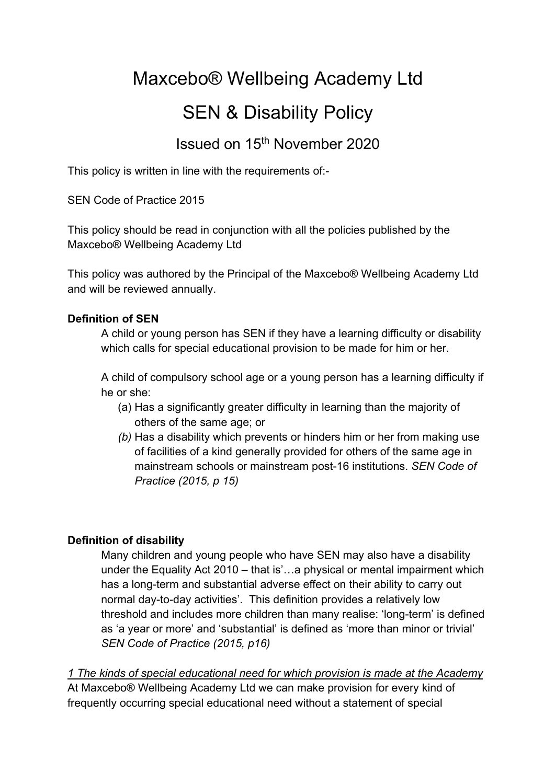# Maxcebo® Wellbeing Academy Ltd

# SEN & Disability Policy

# Issued on 15th November 2020

This policy is written in line with the requirements of:-

SEN Code of Practice 2015

This policy should be read in conjunction with all the policies published by the Maxcebo® Wellbeing Academy Ltd

This policy was authored by the Principal of the Maxcebo® Wellbeing Academy Ltd and will be reviewed annually.

#### **Definition of SEN**

A child or young person has SEN if they have a learning difficulty or disability which calls for special educational provision to be made for him or her.

A child of compulsory school age or a young person has a learning difficulty if he or she:

- (a) Has a significantly greater difficulty in learning than the majority of others of the same age; or
- *(b)* Has a disability which prevents or hinders him or her from making use of facilities of a kind generally provided for others of the same age in mainstream schools or mainstream post-16 institutions. *SEN Code of Practice (2015, p 15)*

#### **Definition of disability**

Many children and young people who have SEN may also have a disability under the Equality Act 2010 – that is'…a physical or mental impairment which has a long-term and substantial adverse effect on their ability to carry out normal day-to-day activities'. This definition provides a relatively low threshold and includes more children than many realise: 'long-term' is defined as 'a year or more' and 'substantial' is defined as 'more than minor or trivial' *SEN Code of Practice (2015, p16)*

*1 The kinds of special educational need for which provision is made at the Academy* At Maxcebo® Wellbeing Academy Ltd we can make provision for every kind of frequently occurring special educational need without a statement of special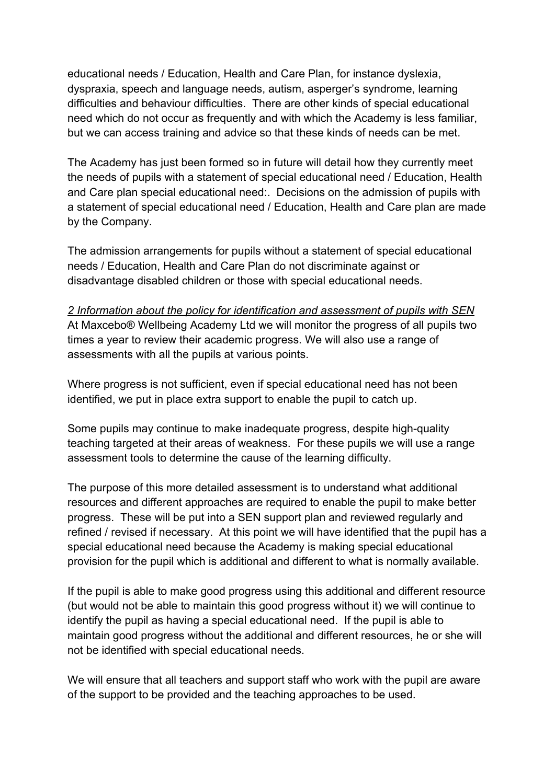educational needs / Education, Health and Care Plan, for instance dyslexia, dyspraxia, speech and language needs, autism, asperger's syndrome, learning difficulties and behaviour difficulties. There are other kinds of special educational need which do not occur as frequently and with which the Academy is less familiar, but we can access training and advice so that these kinds of needs can be met.

The Academy has just been formed so in future will detail how they currently meet the needs of pupils with a statement of special educational need / Education, Health and Care plan special educational need:. Decisions on the admission of pupils with a statement of special educational need / Education, Health and Care plan are made by the Company.

The admission arrangements for pupils without a statement of special educational needs / Education, Health and Care Plan do not discriminate against or disadvantage disabled children or those with special educational needs.

*2 Information about the policy for identification and assessment of pupils with SEN* At Maxcebo® Wellbeing Academy Ltd we will monitor the progress of all pupils two times a year to review their academic progress. We will also use a range of assessments with all the pupils at various points.

Where progress is not sufficient, even if special educational need has not been identified, we put in place extra support to enable the pupil to catch up.

Some pupils may continue to make inadequate progress, despite high-quality teaching targeted at their areas of weakness. For these pupils we will use a range assessment tools to determine the cause of the learning difficulty.

The purpose of this more detailed assessment is to understand what additional resources and different approaches are required to enable the pupil to make better progress. These will be put into a SEN support plan and reviewed regularly and refined / revised if necessary. At this point we will have identified that the pupil has a special educational need because the Academy is making special educational provision for the pupil which is additional and different to what is normally available.

If the pupil is able to make good progress using this additional and different resource (but would not be able to maintain this good progress without it) we will continue to identify the pupil as having a special educational need. If the pupil is able to maintain good progress without the additional and different resources, he or she will not be identified with special educational needs.

We will ensure that all teachers and support staff who work with the pupil are aware of the support to be provided and the teaching approaches to be used.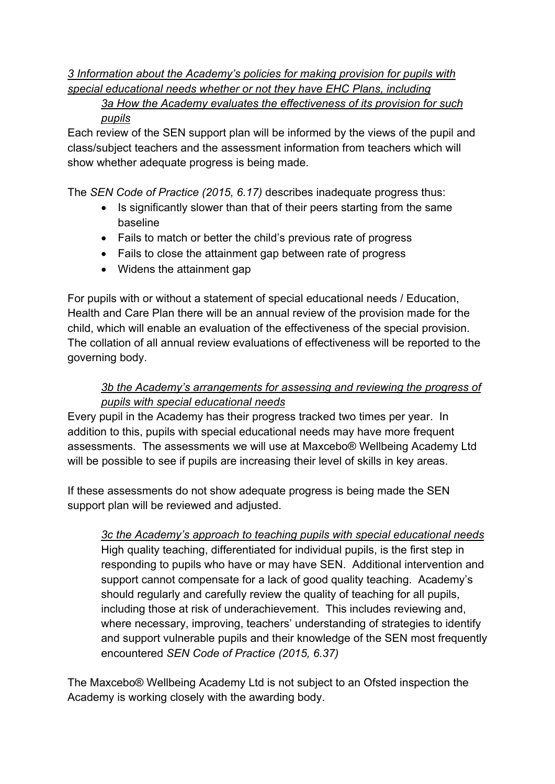# *3 Information about the Academy's policies for making provision for pupils with special educational needs whether or not they have EHC Plans, including*

*3a How the Academy evaluates the effectiveness of its provision for such pupils*

Each review of the SEN support plan will be informed by the views of the pupil and class/subject teachers and the assessment information from teachers which will show whether adequate progress is being made.

The *SEN Code of Practice (2015, 6.17)* describes inadequate progress thus:

- Is significantly slower than that of their peers starting from the same baseline
- Fails to match or better the child's previous rate of progress
- Fails to close the attainment gap between rate of progress
- Widens the attainment gap

For pupils with or without a statement of special educational needs / Education, Health and Care Plan there will be an annual review of the provision made for the child, which will enable an evaluation of the effectiveness of the special provision. The collation of all annual review evaluations of effectiveness will be reported to the governing body.

### *3b the Academy's arrangements for assessing and reviewing the progress of pupils with special educational needs*

Every pupil in the Academy has their progress tracked two times per year. In addition to this, pupils with special educational needs may have more frequent assessments. The assessments we will use at Maxcebo® Wellbeing Academy Ltd will be possible to see if pupils are increasing their level of skills in key areas.

If these assessments do not show adequate progress is being made the SEN support plan will be reviewed and adjusted.

*3c the Academy's approach to teaching pupils with special educational needs* High quality teaching, differentiated for individual pupils, is the first step in responding to pupils who have or may have SEN. Additional intervention and support cannot compensate for a lack of good quality teaching. Academy's should regularly and carefully review the quality of teaching for all pupils, including those at risk of underachievement. This includes reviewing and, where necessary, improving, teachers' understanding of strategies to identify and support vulnerable pupils and their knowledge of the SEN most frequently encountered *SEN Code of Practice (2015, 6.37)*

The Maxcebo® Wellbeing Academy Ltd is not subject to an Ofsted inspection the Academy is working closely with the awarding body.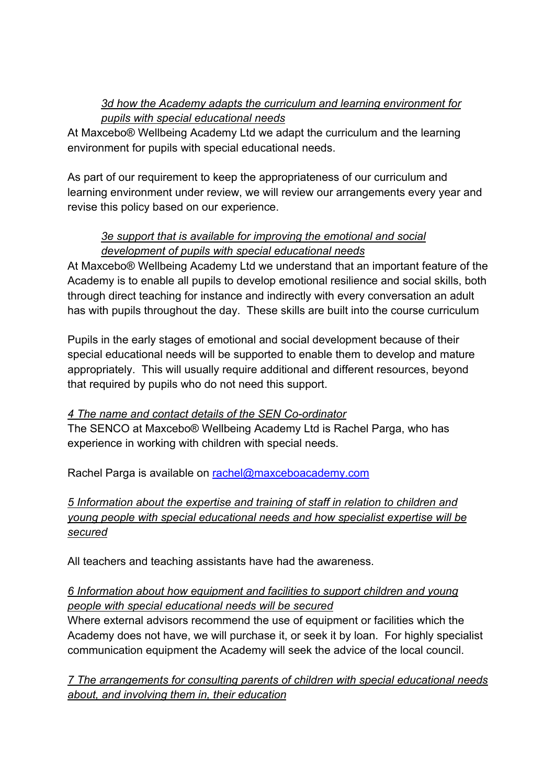## *3d how the Academy adapts the curriculum and learning environment for pupils with special educational needs*

At Maxcebo® Wellbeing Academy Ltd we adapt the curriculum and the learning environment for pupils with special educational needs.

As part of our requirement to keep the appropriateness of our curriculum and learning environment under review, we will review our arrangements every year and revise this policy based on our experience.

## *3e support that is available for improving the emotional and social development of pupils with special educational needs*

At Maxcebo® Wellbeing Academy Ltd we understand that an important feature of the Academy is to enable all pupils to develop emotional resilience and social skills, both through direct teaching for instance and indirectly with every conversation an adult has with pupils throughout the day. These skills are built into the course curriculum

Pupils in the early stages of emotional and social development because of their special educational needs will be supported to enable them to develop and mature appropriately. This will usually require additional and different resources, beyond that required by pupils who do not need this support.

#### *4 The name and contact details of the SEN Co-ordinator*

The SENCO at Maxcebo® Wellbeing Academy Ltd is Rachel Parga, who has experience in working with children with special needs.

Rachel Parga is available on rachel@maxceboacademy.com

## *5 Information about the expertise and training of staff in relation to children and young people with special educational needs and how specialist expertise will be secured*

All teachers and teaching assistants have had the awareness.

#### *6 Information about how equipment and facilities to support children and young people with special educational needs will be secured*

Where external advisors recommend the use of equipment or facilities which the Academy does not have, we will purchase it, or seek it by loan. For highly specialist communication equipment the Academy will seek the advice of the local council.

*7 The arrangements for consulting parents of children with special educational needs about, and involving them in, their education*